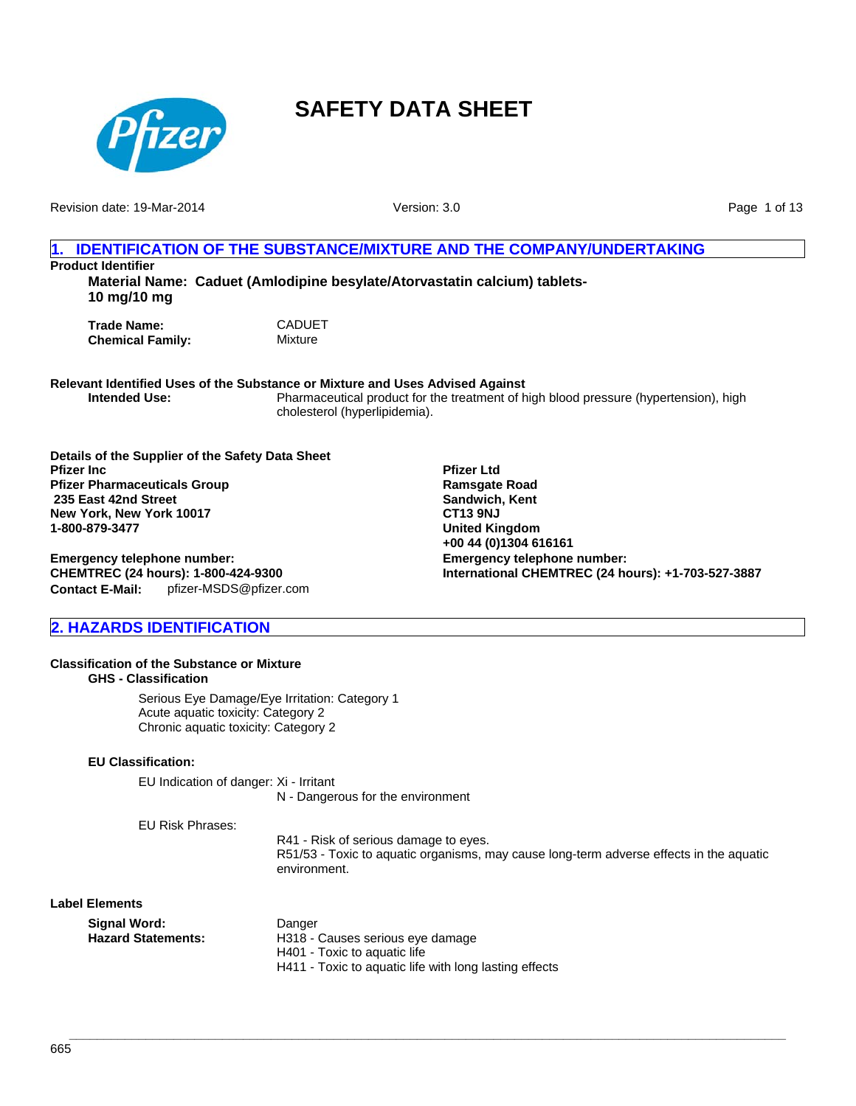

Revision date: 19-Mar-2014

Version: 3.0

Page 1 of 13

## **1. IDENTIFICATION OF THE SUBSTANCE/MIXTURE AND THE COMPANY/UNDERTAKING**

**Product Identifier**

**Material Name: Caduet (Amlodipine besylate/Atorvastatin calcium) tablets-10 mg/10 mg**

**Trade Name:** CADUET<br> **Chemical Family:** Mixture **Chemical Family:** 

**Relevant Identified Uses of the Substance or Mixture and Uses Advised Against**

**Intended Use:** Pharmaceutical product for the treatment of high blood pressure (hypertension), high cholesterol (hyperlipidemia).

> **Pfizer Ltd Ramsgate Road Sandwich, Kent CT13 9NJ United Kingdom +00 44 (0)1304 616161**

**Emergency telephone number:**

**International CHEMTREC (24 hours): +1-703-527-3887**

**Details of the Supplier of the Safety Data Sheet Pfizer Inc Pfizer Pharmaceuticals Group 235 East 42nd Street New York, New York 10017 1-800-879-3477**

#### **Contact E-Mail:** pfizer-MSDS@pfizer.com **Emergency telephone number: CHEMTREC (24 hours): 1-800-424-9300**

## **2. HAZARDS IDENTIFICATION**

### **Classification of the Substance or Mixture**

**GHS - Classification**

Serious Eye Damage/Eye Irritation: Category 1 Acute aquatic toxicity: Category 2 Chronic aquatic toxicity: Category 2

## **EU Classification:**

EU Indication of danger: Xi - Irritant N - Dangerous for the environment

EU Risk Phrases:

R41 - Risk of serious damage to eyes. R51/53 - Toxic to aquatic organisms, may cause long-term adverse effects in the aquatic environment.

**Label Elements**

| Signal Word:       | Danger                           |
|--------------------|----------------------------------|
| Hazard Statements: | H318 - Causes serious eye damage |
|                    | H401 - Toxic to aguatic life     |
|                    |                                  |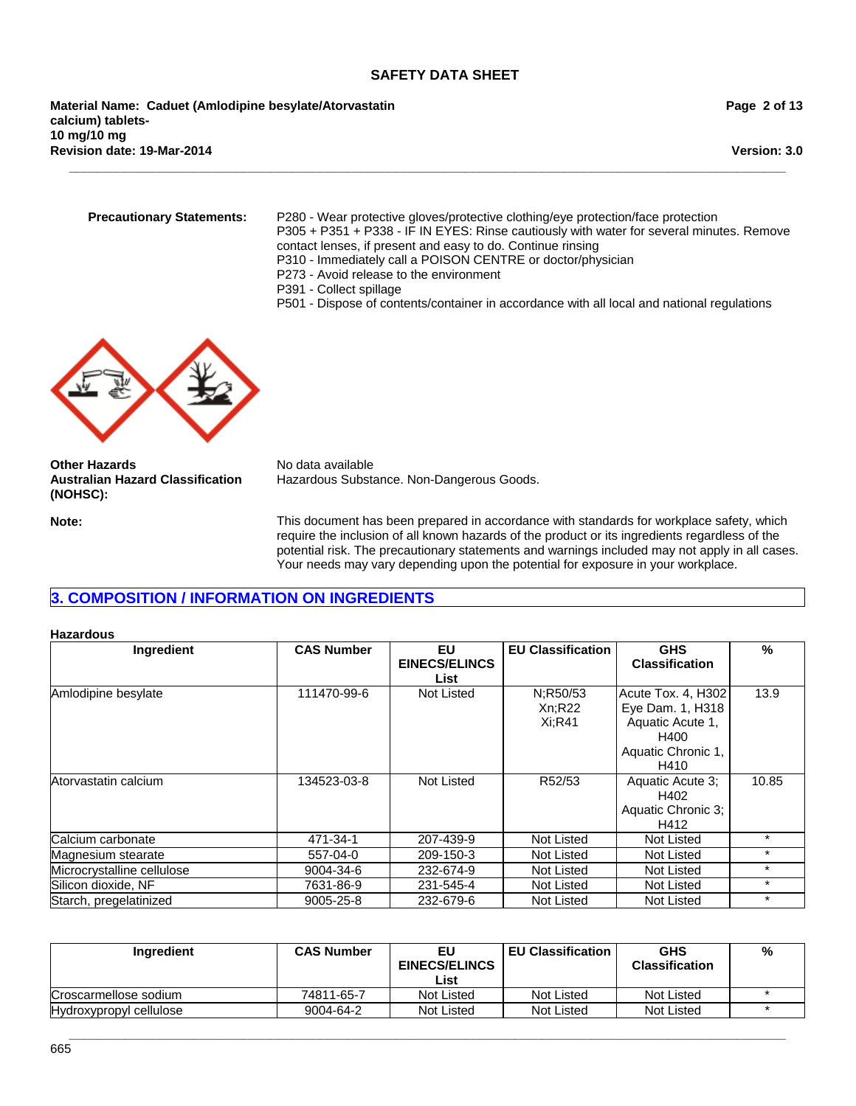**\_\_\_\_\_\_\_\_\_\_\_\_\_\_\_\_\_\_\_\_\_\_\_\_\_\_\_\_\_\_\_\_\_\_\_\_\_\_\_\_\_\_\_\_\_\_\_\_\_\_\_\_\_\_\_\_\_\_\_\_\_\_\_\_\_\_\_\_\_\_\_\_\_\_\_\_\_\_\_\_\_\_\_\_\_\_\_\_\_\_\_\_\_\_\_\_\_\_\_\_\_\_\_**

**Revision date: 19-Mar-2014 Material Name: Caduet (Amlodipine besylate/Atorvastatin calcium) tablets-10 mg/10 mg**

**Page 2 of 13**

**Version: 3.0**

**Precautionary Statements:** P280 - Wear protective gloves/protective clothing/eye protection/face protection P305 + P351 + P338 - IF IN EYES: Rinse cautiously with water for several minutes. Remove contact lenses, if present and easy to do. Continue rinsing

- P310 Immediately call a POISON CENTRE or doctor/physician
- P273 Avoid release to the environment
- P391 Collect spillage
- P501 Dispose of contents/container in accordance with all local and national regulations



**Other Hazards** No data available **Australian Hazard Classification (NOHSC):**

Hazardous Substance. Non-Dangerous Goods.

**Note:** This document has been prepared in accordance with standards for workplace safety, which require the inclusion of all known hazards of the product or its ingredients regardless of the potential risk. The precautionary statements and warnings included may not apply in all cases. Your needs may vary depending upon the potential for exposure in your workplace.

## **3. COMPOSITION / INFORMATION ON INGREDIENTS**

#### **Hazardous**

| Ingredient                 | <b>CAS Number</b> | EU<br><b>EINECS/ELINCS</b> | <b>EU Classification</b> | <b>GHS</b><br><b>Classification</b>    | $\frac{9}{6}$ |
|----------------------------|-------------------|----------------------------|--------------------------|----------------------------------------|---------------|
|                            |                   | List                       |                          |                                        |               |
| Amlodipine besylate        | 111470-99-6       | Not Listed                 | N:R50/53<br>Xn:R22       | Acute Tox. 4, H302<br>Eye Dam. 1, H318 | 13.9          |
|                            |                   |                            | $Xi:$ R41                | Aquatic Acute 1,                       |               |
|                            |                   |                            |                          | H400                                   |               |
|                            |                   |                            |                          | Aquatic Chronic 1,                     |               |
|                            |                   |                            |                          | H410                                   |               |
| Atorvastatin calcium       | 134523-03-8       | Not Listed                 | R52/53                   | Aquatic Acute 3;                       | 10.85         |
|                            |                   |                            |                          | H402                                   |               |
|                            |                   |                            |                          | Aquatic Chronic 3;                     |               |
|                            |                   |                            |                          | H412                                   |               |
| Calcium carbonate          | 471-34-1          | 207-439-9                  | Not Listed               | Not Listed                             | $\star$       |
| Magnesium stearate         | 557-04-0          | 209-150-3                  | Not Listed               | Not Listed                             | $\star$       |
| Microcrystalline cellulose | 9004-34-6         | 232-674-9                  | Not Listed               | Not Listed                             | $\star$       |
| Silicon dioxide, NF        | 7631-86-9         | 231-545-4                  | Not Listed               | Not Listed                             | $\ast$        |
| Starch, pregelatinized     | 9005-25-8         | 232-679-6                  | Not Listed               | Not Listed                             | $\ast$        |

| Ingredient              | <b>CAS Number</b> | EU<br><b>EINECS/ELINCS</b> | <b>EU Classification</b> | <b>GHS</b><br><b>Classification</b> | % |
|-------------------------|-------------------|----------------------------|--------------------------|-------------------------------------|---|
|                         |                   | List                       |                          |                                     |   |
| Croscarmellose sodium   | 74811-65-7        | Not Listed                 | Not Listed               | Not Listed                          |   |
| Hydroxypropyl cellulose | 9004-64-2         | Not Listed                 | Not Listed               | Not Listed                          |   |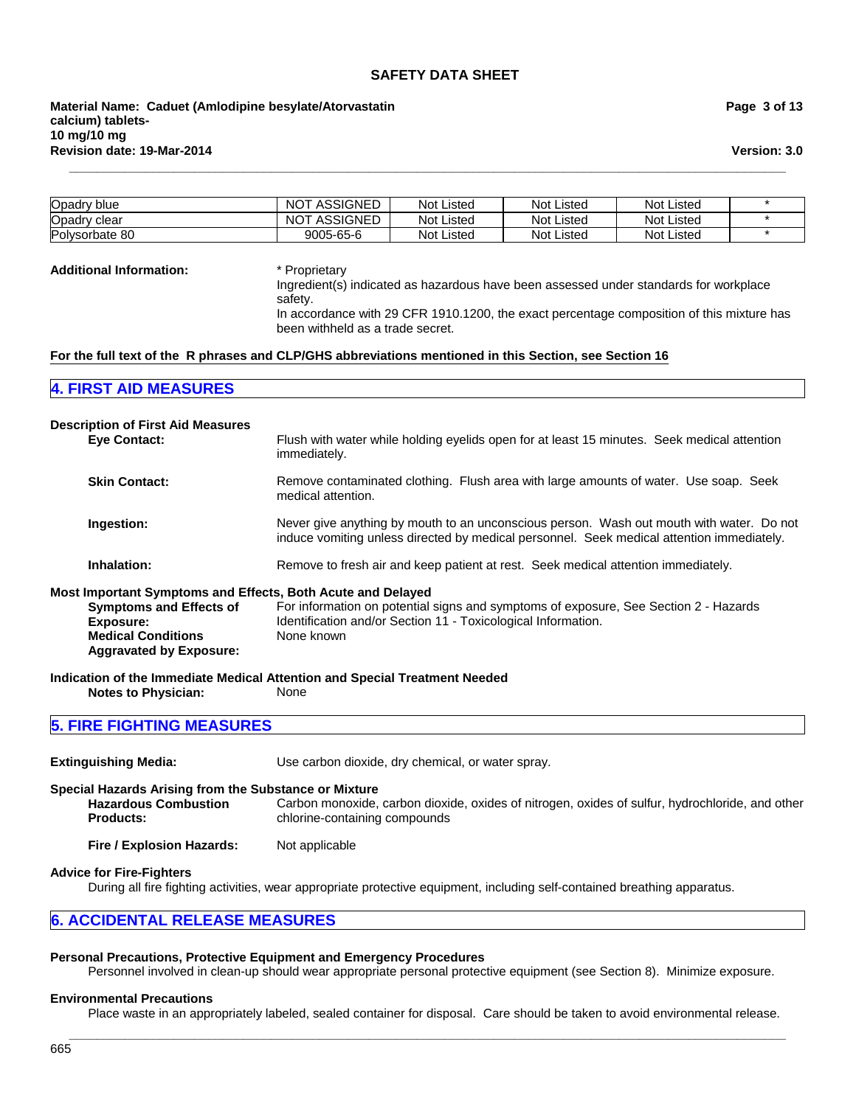**Revision date: 19-Mar-2014 Material Name: Caduet (Amlodipine besylate/Atorvastatin calcium) tablets-10 mg/10 mg**

**Page 3 of 13**

**Version: 3.0**

| Opadry blue    | ASSIGNED<br>NOT. | Not Listed        | <b>Not Listed</b> | <b>Not Listed</b> |  |
|----------------|------------------|-------------------|-------------------|-------------------|--|
| Opadry clear   | ASSIGNED<br>NOT. | <b>Not Listed</b> | <b>Not Listed</b> | <b>Not Listed</b> |  |
| Polysorbate 80 | 9005-65-6        | <b>Not Listed</b> | <b>Not Listed</b> | <b>Not Listed</b> |  |

**\_\_\_\_\_\_\_\_\_\_\_\_\_\_\_\_\_\_\_\_\_\_\_\_\_\_\_\_\_\_\_\_\_\_\_\_\_\_\_\_\_\_\_\_\_\_\_\_\_\_\_\_\_\_\_\_\_\_\_\_\_\_\_\_\_\_\_\_\_\_\_\_\_\_\_\_\_\_\_\_\_\_\_\_\_\_\_\_\_\_\_\_\_\_\_\_\_\_\_\_\_\_\_**

#### **Additional Information:** \* Proprietary

Ingredient(s) indicated as hazardous have been assessed under standards for workplace safety.

In accordance with 29 CFR 1910.1200, the exact percentage composition of this mixture has been withheld as a trade secret.

#### **For the full text of the R phrases and CLP/GHS abbreviations mentioned in this Section, see Section 16**

#### **4. FIRST AID MEASURES**

| <b>Description of First Aid Measures</b>                    |                                                                                                                                                                                       |
|-------------------------------------------------------------|---------------------------------------------------------------------------------------------------------------------------------------------------------------------------------------|
| <b>Eve Contact:</b>                                         | Flush with water while holding eyelids open for at least 15 minutes. Seek medical attention<br>immediately.                                                                           |
| <b>Skin Contact:</b>                                        | Remove contaminated clothing. Flush area with large amounts of water. Use soap. Seek<br>medical attention.                                                                            |
| Ingestion:                                                  | Never give anything by mouth to an unconscious person. Wash out mouth with water. Do not<br>induce vomiting unless directed by medical personnel. Seek medical attention immediately. |
| Inhalation:                                                 | Remove to fresh air and keep patient at rest. Seek medical attention immediately.                                                                                                     |
| Most Important Symptoms and Effects, Both Acute and Delayed |                                                                                                                                                                                       |
| <b>Symptoms and Effects of</b>                              | For information on potential signs and symptoms of exposure, See Section 2 - Hazards                                                                                                  |
| Exposure:                                                   | Identification and/or Section 11 - Toxicological Information.                                                                                                                         |
| <b>Medical Conditions</b><br><b>Aggravated by Exposure:</b> | None known                                                                                                                                                                            |
|                                                             | Indication of the Immediate Medical Attention and Special Treatment Needed                                                                                                            |
| <b>Notes to Physician:</b>                                  | <b>None</b>                                                                                                                                                                           |

## **5. FIRE FIGHTING MEASURES**

| <b>Extinguishing Media:</b>                                                                              | Use carbon dioxide, dry chemical, or water spray.                                                                                |  |  |
|----------------------------------------------------------------------------------------------------------|----------------------------------------------------------------------------------------------------------------------------------|--|--|
| Special Hazards Arising from the Substance or Mixture<br><b>Hazardous Combustion</b><br><b>Products:</b> | Carbon monoxide, carbon dioxide, oxides of nitrogen, oxides of sulfur, hydrochloride, and other<br>chlorine-containing compounds |  |  |
| Fire / Explosion Hazards:                                                                                | Not applicable                                                                                                                   |  |  |

#### **Advice for Fire-Fighters**

During all fire fighting activities, wear appropriate protective equipment, including self-contained breathing apparatus.

#### **6. ACCIDENTAL RELEASE MEASURES**

#### **Personal Precautions, Protective Equipment and Emergency Procedures**

Personnel involved in clean-up should wear appropriate personal protective equipment (see Section 8). Minimize exposure.

#### **Environmental Precautions**

Place waste in an appropriately labeled, sealed container for disposal. Care should be taken to avoid environmental release. **\_\_\_\_\_\_\_\_\_\_\_\_\_\_\_\_\_\_\_\_\_\_\_\_\_\_\_\_\_\_\_\_\_\_\_\_\_\_\_\_\_\_\_\_\_\_\_\_\_\_\_\_\_\_\_\_\_\_\_\_\_\_\_\_\_\_\_\_\_\_\_\_\_\_\_\_\_\_\_\_\_\_\_\_\_\_\_\_\_\_\_\_\_\_\_\_\_\_\_\_\_\_\_**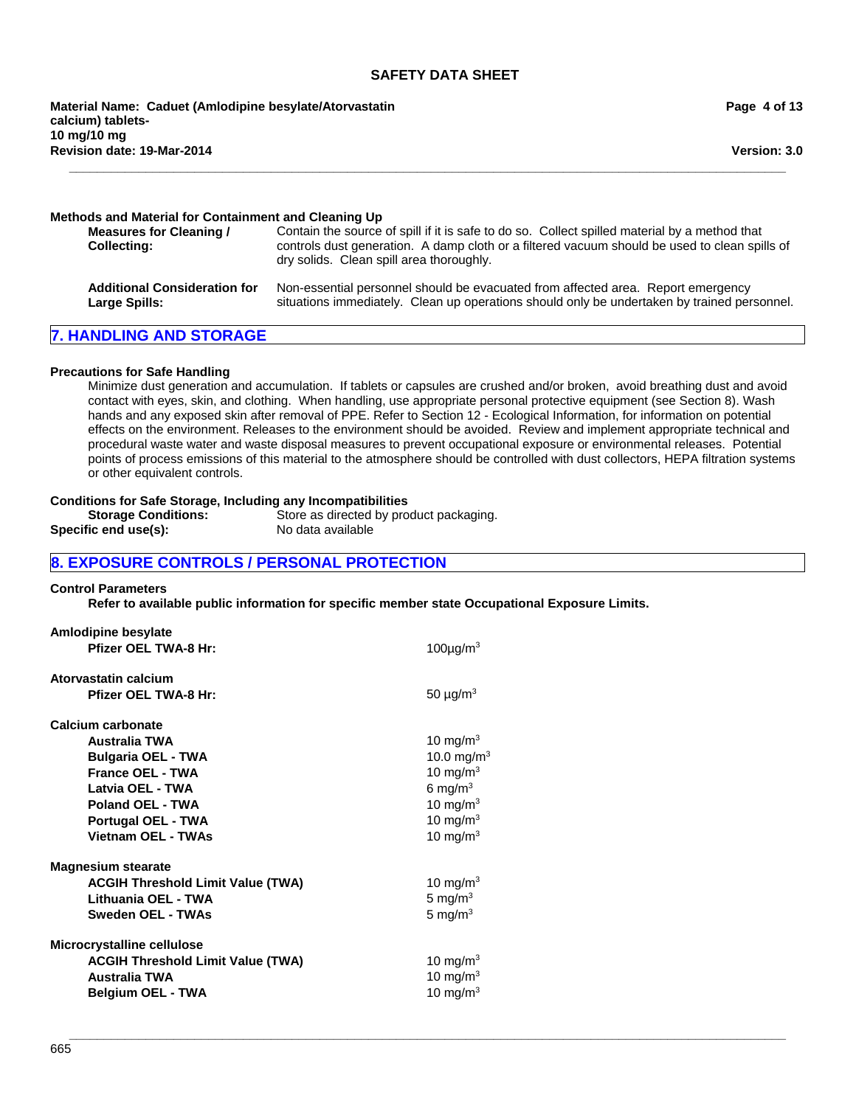**Revision date: 19-Mar-2014 Material Name: Caduet (Amlodipine besylate/Atorvastatin calcium) tablets-10 mg/10 mg**

**Page 4 of 13**

**Version: 3.0**

#### **Methods and Material for Containment and Cleaning Up**

| Measures for Cleaning /<br><b>Collecting:</b> | Contain the source of spill if it is safe to do so. Collect spilled material by a method that<br>controls dust generation. A damp cloth or a filtered vacuum should be used to clean spills of<br>dry solids. Clean spill area thoroughly. |
|-----------------------------------------------|--------------------------------------------------------------------------------------------------------------------------------------------------------------------------------------------------------------------------------------------|
| <b>Additional Consideration for</b>           | Non-essential personnel should be evacuated from affected area. Report emergency                                                                                                                                                           |
| Large Spills:                                 | situations immediately. Clean up operations should only be undertaken by trained personnel.                                                                                                                                                |

**\_\_\_\_\_\_\_\_\_\_\_\_\_\_\_\_\_\_\_\_\_\_\_\_\_\_\_\_\_\_\_\_\_\_\_\_\_\_\_\_\_\_\_\_\_\_\_\_\_\_\_\_\_\_\_\_\_\_\_\_\_\_\_\_\_\_\_\_\_\_\_\_\_\_\_\_\_\_\_\_\_\_\_\_\_\_\_\_\_\_\_\_\_\_\_\_\_\_\_\_\_\_\_**

### **7. HANDLING AND STORAGE**

#### **Precautions for Safe Handling**

Minimize dust generation and accumulation. If tablets or capsules are crushed and/or broken, avoid breathing dust and avoid contact with eyes, skin, and clothing. When handling, use appropriate personal protective equipment (see Section 8). Wash hands and any exposed skin after removal of PPE. Refer to Section 12 - Ecological Information, for information on potential effects on the environment. Releases to the environment should be avoided. Review and implement appropriate technical and procedural waste water and waste disposal measures to prevent occupational exposure or environmental releases. Potential points of process emissions of this material to the atmosphere should be controlled with dust collectors, HEPA filtration systems or other equivalent controls.

**\_\_\_\_\_\_\_\_\_\_\_\_\_\_\_\_\_\_\_\_\_\_\_\_\_\_\_\_\_\_\_\_\_\_\_\_\_\_\_\_\_\_\_\_\_\_\_\_\_\_\_\_\_\_\_\_\_\_\_\_\_\_\_\_\_\_\_\_\_\_\_\_\_\_\_\_\_\_\_\_\_\_\_\_\_\_\_\_\_\_\_\_\_\_\_\_\_\_\_\_\_\_\_**

#### **Conditions for Safe Storage, Including any Incompatibilities**

| <b>Storage Conditions:</b> | Store as directed by product packaging. |
|----------------------------|-----------------------------------------|
| Specific end use(s):       | No data available                       |

## **8. EXPOSURE CONTROLS / PERSONAL PROTECTION**

## **Control Parameters**

**Refer to available public information for specific member state Occupational Exposure Limits.**

| <b>Amlodipine besylate</b>               |                            |
|------------------------------------------|----------------------------|
| <b>Pfizer OEL TWA-8 Hr:</b>              | 100 $\mu$ g/m <sup>3</sup> |
| Atorvastatin calcium                     |                            |
| <b>Pfizer OEL TWA-8 Hr:</b>              | 50 $\mu$ g/m <sup>3</sup>  |
| Calcium carbonate                        |                            |
| <b>Australia TWA</b>                     | 10 mg/m $3$                |
| <b>Bulgaria OEL - TWA</b>                | 10.0 mg/m <sup>3</sup>     |
| <b>France OEL - TWA</b>                  | 10 mg/m $3$                |
| Latvia OEL - TWA                         | 6 mg/m $3$                 |
| Poland OEL - TWA                         | 10 mg/m $3$                |
| Portugal OEL - TWA                       | 10 mg/ $m3$                |
| <b>Vietnam OEL - TWAs</b>                | 10 mg/m $3$                |
| <b>Magnesium stearate</b>                |                            |
| <b>ACGIH Threshold Limit Value (TWA)</b> | 10 mg/m $3$                |
| Lithuania OEL - TWA                      | 5 mg/ $m3$                 |
| Sweden OEL - TWAs                        | 5 mg/ $m3$                 |
| Microcrystalline cellulose               |                            |
| <b>ACGIH Threshold Limit Value (TWA)</b> | 10 mg/m $3$                |
| <b>Australia TWA</b>                     | 10 mg/m $3$                |
| <b>Belgium OEL - TWA</b>                 | 10 mg/m $3$                |
|                                          |                            |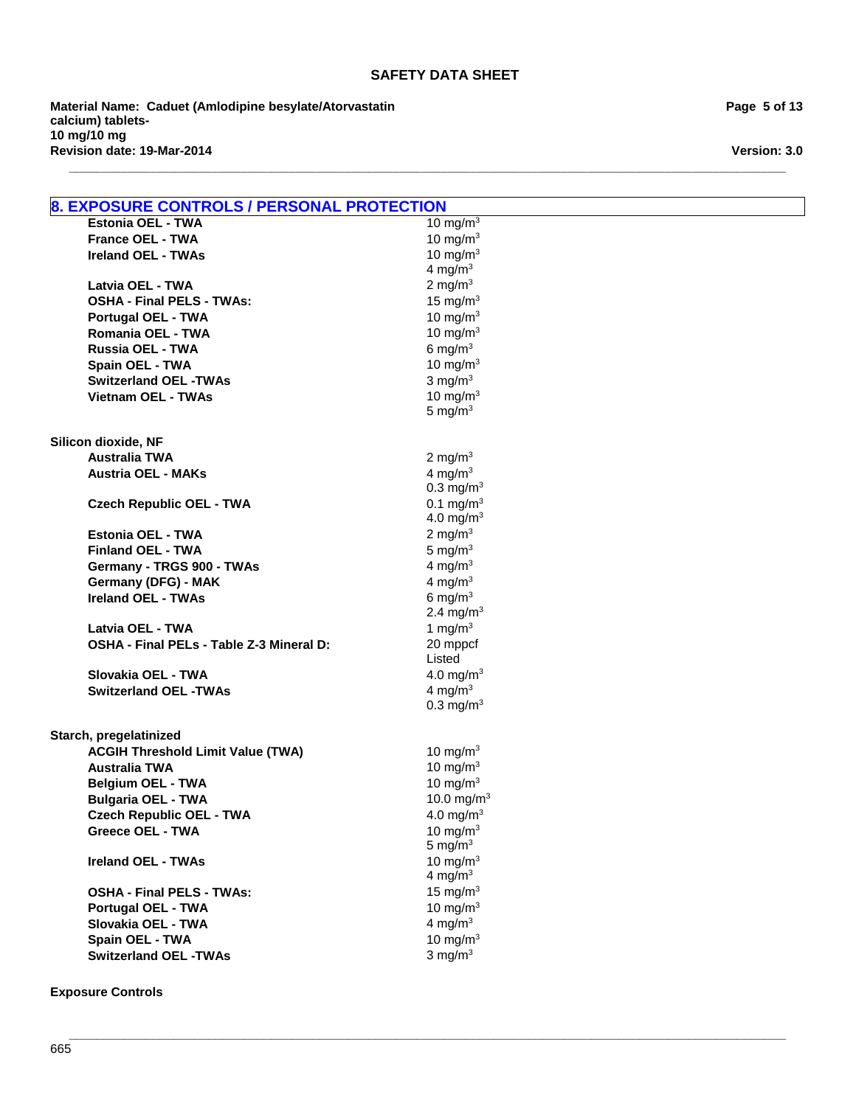**\_\_\_\_\_\_\_\_\_\_\_\_\_\_\_\_\_\_\_\_\_\_\_\_\_\_\_\_\_\_\_\_\_\_\_\_\_\_\_\_\_\_\_\_\_\_\_\_\_\_\_\_\_\_\_\_\_\_\_\_\_\_\_\_\_\_\_\_\_\_\_\_\_\_\_\_\_\_\_\_\_\_\_\_\_\_\_\_\_\_\_\_\_\_\_\_\_\_\_\_\_\_\_**

**Revision date: 19-Mar-2014 Material Name: Caduet (Amlodipine besylate/Atorvastatin calcium) tablets-10 mg/10 mg**

**Page 5 of 13**

**Version: 3.0**

| <b>8. EXPOSURE CONTROLS / PERSONAL PROTECTION</b> |                           |
|---------------------------------------------------|---------------------------|
| <b>Estonia OEL - TWA</b>                          | 10 mg/m $3$               |
| <b>France OEL - TWA</b>                           | 10 mg/m $3$               |
| <b>Ireland OEL - TWAs</b>                         | 10 mg/m $3$               |
|                                                   | 4 mg/ $m3$                |
| Latvia OEL - TWA                                  | 2 mg/m $3$                |
| <b>OSHA - Final PELS - TWAs:</b>                  | 15 mg/m $3$               |
| <b>Portugal OEL - TWA</b>                         | 10 mg/m $3$               |
| Romania OEL - TWA                                 | 10 mg/ $m3$               |
| Russia OEL - TWA                                  | 6 mg/ $m3$                |
| Spain OEL - TWA                                   | 10 mg/m $3$               |
| <b>Switzerland OEL -TWAs</b>                      | $3 \text{ mg/m}^3$        |
| <b>Vietnam OEL - TWAs</b>                         | 10 mg/m $3$               |
|                                                   | 5 mg/ $m3$                |
| Silicon dioxide, NF                               |                           |
| <b>Australia TWA</b>                              | 2 mg/m $3$                |
| <b>Austria OEL - MAKs</b>                         | 4 mg/m $3$                |
|                                                   | $0.3 \text{ mg/m}^3$      |
| <b>Czech Republic OEL - TWA</b>                   | $0.1 \text{ mg/m}^3$      |
|                                                   | 4.0 mg/m <sup>3</sup>     |
| <b>Estonia OEL - TWA</b>                          | 2 mg/m $3$                |
| <b>Finland OEL - TWA</b>                          | 5 mg/ $m3$                |
| Germany - TRGS 900 - TWAs                         | 4 mg/m $3$                |
| Germany (DFG) - MAK                               | 4 mg/m <sup>3</sup>       |
| <b>Ireland OEL - TWAs</b>                         | 6 mg/m $3$                |
|                                                   | 2.4 mg/m <sup>3</sup>     |
| Latvia OEL - TWA                                  | 1 mg/ $m3$                |
| OSHA - Final PELs - Table Z-3 Mineral D:          | 20 mppcf                  |
|                                                   | Listed                    |
| Slovakia OEL - TWA                                | 4.0 mg/m <sup>3</sup>     |
| <b>Switzerland OEL -TWAs</b>                      | 4 mg/ $m3$                |
|                                                   | $0.3$ mg/m <sup>3</sup>   |
| Starch, pregelatinized                            |                           |
| <b>ACGIH Threshold Limit Value (TWA)</b>          | 10 mg/m $3$               |
| <b>Australia TWA</b>                              | 10 mg/ $m3$               |
| <b>Belgium OEL - TWA</b>                          | 10 mg/ $m3$               |
| <b>Bulgaria OEL - TWA</b>                         | 10.0 mg/m <sup>3</sup>    |
| <b>Czech Republic OEL - TWA</b>                   | 4.0 mg/m <sup>3</sup>     |
| <b>Greece OEL - TWA</b>                           | 10 mg/m $3$<br>5 mg/ $m3$ |
|                                                   | 10 mg/m $3$               |
| <b>Ireland OEL - TWAs</b>                         | 4 mg/m $3$                |
| <b>OSHA - Final PELS - TWAs:</b>                  | 15 mg/ $m3$               |
| <b>Portugal OEL - TWA</b>                         | 10 mg/m $3$               |
| Slovakia OEL - TWA                                | 4 mg/ $m3$                |
| Spain OEL - TWA                                   | 10 mg/m $3$               |
| <b>Switzerland OEL -TWAs</b>                      | $3 \text{ mg/m}^3$        |
|                                                   |                           |
| <b>Exposure Controls</b>                          |                           |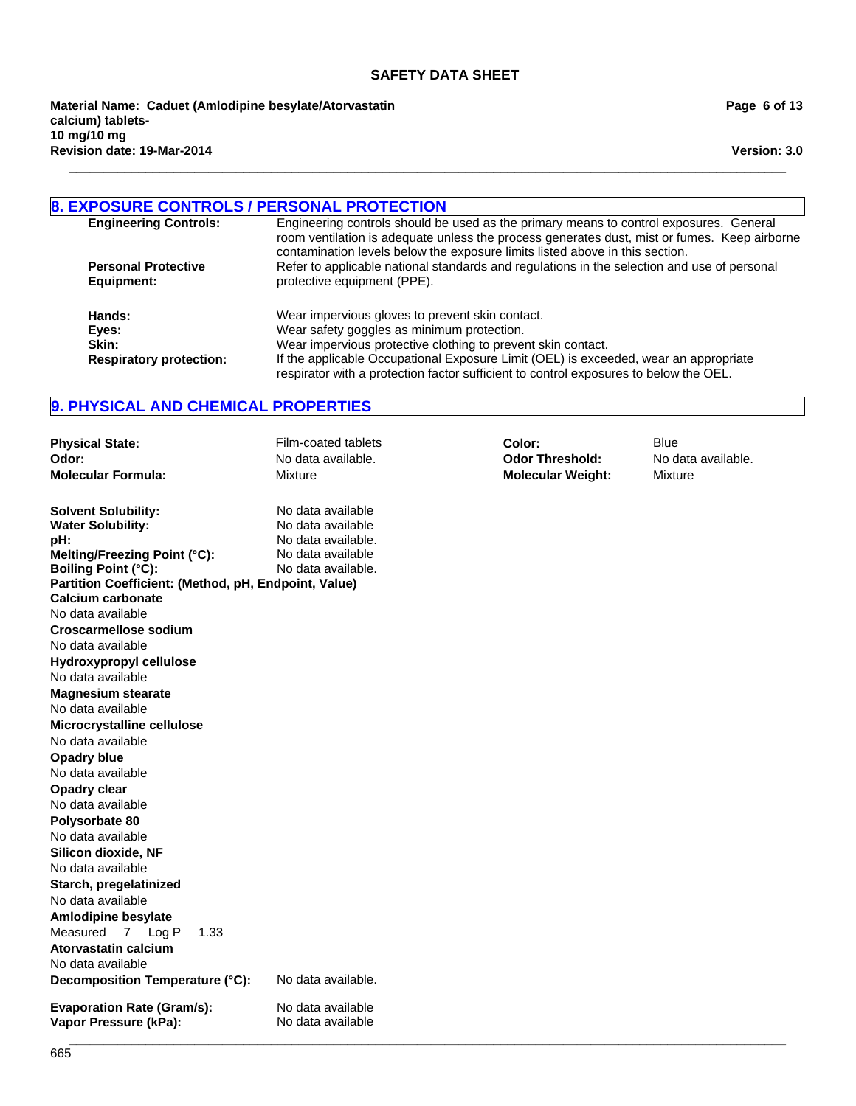**\_\_\_\_\_\_\_\_\_\_\_\_\_\_\_\_\_\_\_\_\_\_\_\_\_\_\_\_\_\_\_\_\_\_\_\_\_\_\_\_\_\_\_\_\_\_\_\_\_\_\_\_\_\_\_\_\_\_\_\_\_\_\_\_\_\_\_\_\_\_\_\_\_\_\_\_\_\_\_\_\_\_\_\_\_\_\_\_\_\_\_\_\_\_\_\_\_\_\_\_\_\_\_**

**Revision date: 19-Mar-2014 Material Name: Caduet (Amlodipine besylate/Atorvastatin calcium) tablets-10 mg/10 mg**

**Page 6 of 13**

**Version: 3.0**

## **8. EXPOSURE CONTROLS / PERSONAL PROTECTION**

| <b>Engineering Controls:</b>   | Engineering controls should be used as the primary means to control exposures. General<br>room ventilation is adequate unless the process generates dust, mist or fumes. Keep airborne<br>contamination levels below the exposure limits listed above in this section. |
|--------------------------------|------------------------------------------------------------------------------------------------------------------------------------------------------------------------------------------------------------------------------------------------------------------------|
| <b>Personal Protective</b>     | Refer to applicable national standards and regulations in the selection and use of personal                                                                                                                                                                            |
|                                |                                                                                                                                                                                                                                                                        |
| Equipment:                     | protective equipment (PPE).                                                                                                                                                                                                                                            |
| Hands:                         | Wear impervious gloves to prevent skin contact.                                                                                                                                                                                                                        |
|                                |                                                                                                                                                                                                                                                                        |
| Eyes:                          | Wear safety goggles as minimum protection.                                                                                                                                                                                                                             |
| Skin:                          | Wear impervious protective clothing to prevent skin contact.                                                                                                                                                                                                           |
| <b>Respiratory protection:</b> | If the applicable Occupational Exposure Limit (OEL) is exceeded, wear an appropriate                                                                                                                                                                                   |
|                                | respirator with a protection factor sufficient to control exposures to below the OEL.                                                                                                                                                                                  |

## **9. PHYSICAL AND CHEMICAL PROPERTIES**

| <b>Physical State:</b>                                                             | Film-coated tablets | Color:                   | Blue               |
|------------------------------------------------------------------------------------|---------------------|--------------------------|--------------------|
| Odor:                                                                              | No data available.  | <b>Odor Threshold:</b>   | No data available. |
| <b>Molecular Formula:</b>                                                          | <b>Mixture</b>      | <b>Molecular Weight:</b> | <b>Mixture</b>     |
| <b>Solvent Solubility:</b>                                                         | No data available   |                          |                    |
| <b>Water Solubility:</b>                                                           | No data available   |                          |                    |
| pH:                                                                                | No data available.  |                          |                    |
| Melting/Freezing Point (°C):                                                       | No data available   |                          |                    |
| <b>Boiling Point (°C):</b><br>Partition Coefficient: (Method, pH, Endpoint, Value) | No data available.  |                          |                    |
| Calcium carbonate                                                                  |                     |                          |                    |
| No data available                                                                  |                     |                          |                    |
| <b>Croscarmellose sodium</b>                                                       |                     |                          |                    |
| No data available                                                                  |                     |                          |                    |
| Hydroxypropyl cellulose                                                            |                     |                          |                    |
| No data available                                                                  |                     |                          |                    |
| <b>Magnesium stearate</b>                                                          |                     |                          |                    |
| No data available                                                                  |                     |                          |                    |
| Microcrystalline cellulose                                                         |                     |                          |                    |
| No data available                                                                  |                     |                          |                    |
| Opadry blue                                                                        |                     |                          |                    |
| No data available                                                                  |                     |                          |                    |
| Opadry clear                                                                       |                     |                          |                    |
| No data available                                                                  |                     |                          |                    |
| Polysorbate 80                                                                     |                     |                          |                    |
| No data available                                                                  |                     |                          |                    |
| Silicon dioxide, NF                                                                |                     |                          |                    |
| No data available                                                                  |                     |                          |                    |
| Starch, pregelatinized                                                             |                     |                          |                    |
| No data available                                                                  |                     |                          |                    |
| Amlodipine besylate                                                                |                     |                          |                    |
| Measured 7 Log P<br>1.33                                                           |                     |                          |                    |
| Atorvastatin calcium                                                               |                     |                          |                    |
| No data available                                                                  |                     |                          |                    |
| Decomposition Temperature (°C):                                                    | No data available.  |                          |                    |
| <b>Evaporation Rate (Gram/s):</b>                                                  | No data available   |                          |                    |
| Vapor Pressure (kPa):                                                              | No data available   |                          |                    |
|                                                                                    |                     |                          |                    |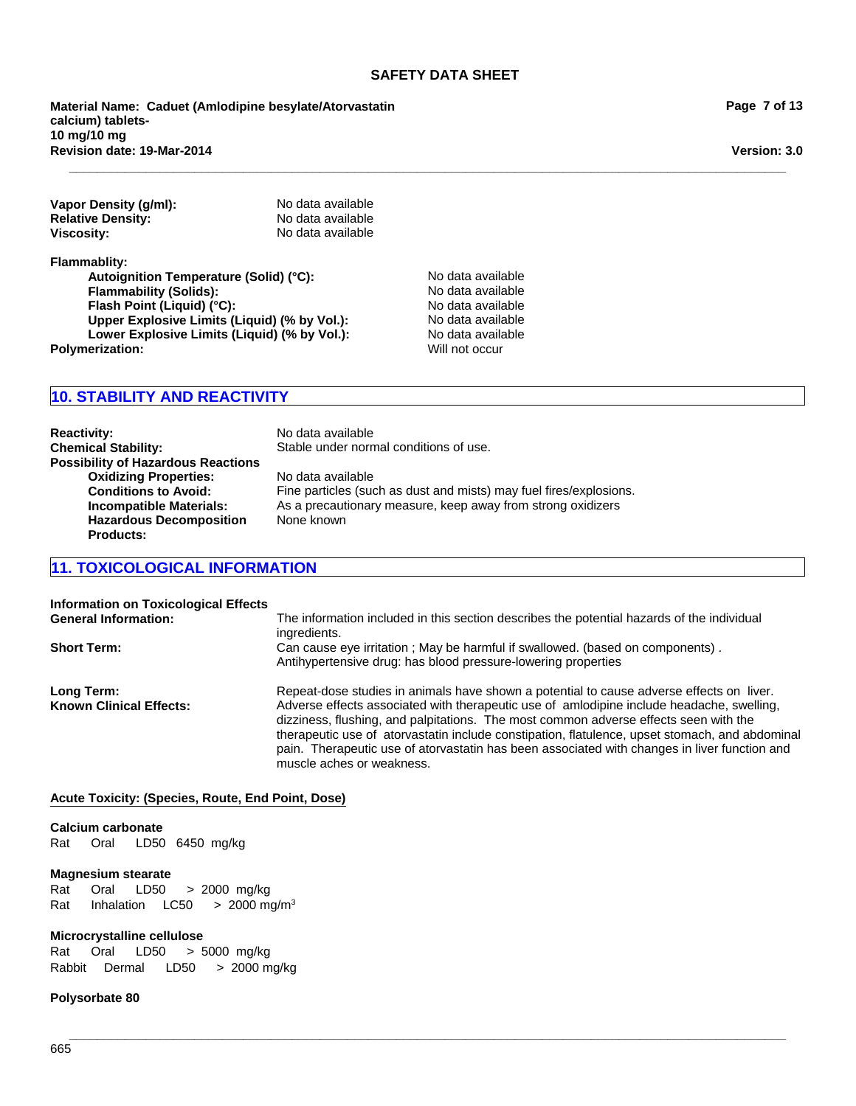**\_\_\_\_\_\_\_\_\_\_\_\_\_\_\_\_\_\_\_\_\_\_\_\_\_\_\_\_\_\_\_\_\_\_\_\_\_\_\_\_\_\_\_\_\_\_\_\_\_\_\_\_\_\_\_\_\_\_\_\_\_\_\_\_\_\_\_\_\_\_\_\_\_\_\_\_\_\_\_\_\_\_\_\_\_\_\_\_\_\_\_\_\_\_\_\_\_\_\_\_\_\_\_**

**Revision date: 19-Mar-2014 Material Name: Caduet (Amlodipine besylate/Atorvastatin calcium) tablets-10 mg/10 mg**

| Vapor Density (g/ml):    | No data available |
|--------------------------|-------------------|
| <b>Relative Density:</b> | No data available |
| Viscosity:               | No data available |

**Flammablity:**

Autoignition Temperature (Solid) (°C): No data available **Flammability (Solids):** No data available **Flash Point (Liquid) (°C):** No data available **Upper Explosive Limits (Liquid) (% by Vol.):** No data available **Lower Explosive Limits (Liquid) (% by Vol.):** No data available<br> **No data available**<br>
Will not occur **Polymerization:** 

## **10. STABILITY AND REACTIVITY**

**Reactivity:** No data available<br> **Chemical Stability:** Stable under norn Stable under normal conditions of use. **Possibility of Hazardous Reactions Oxidizing Properties:** No data available<br> **Conditions to Avoid:** Fine particles (sud **Conditions to Avoid:** Fine particles (such as dust and mists) may fuel fires/explosions.<br> **Incompatible Materials:** As a precautionary measure, keep away from strong oxidizers **Incompatible Materials:** As a precautionary measure, keep away from strong oxidizers **Hazardous Decomposition Products:** None known

## **11. TOXICOLOGICAL INFORMATION**

| <b>Information on Toxicological Effects</b><br><b>General Information:</b> | The information included in this section describes the potential hazards of the individual<br>ingredients.                                                                                                                                                                                                                                                                                                                                                                                                   |
|----------------------------------------------------------------------------|--------------------------------------------------------------------------------------------------------------------------------------------------------------------------------------------------------------------------------------------------------------------------------------------------------------------------------------------------------------------------------------------------------------------------------------------------------------------------------------------------------------|
| <b>Short Term:</b>                                                         | Can cause eye irritation; May be harmful if swallowed. (based on components).<br>Antihypertensive drug: has blood pressure-lowering properties                                                                                                                                                                                                                                                                                                                                                               |
| Long Term:<br><b>Known Clinical Effects:</b>                               | Repeat-dose studies in animals have shown a potential to cause adverse effects on liver.<br>Adverse effects associated with therapeutic use of amlodipine include headache, swelling,<br>dizziness, flushing, and palpitations. The most common adverse effects seen with the<br>therapeutic use of atorvastatin include constipation, flatulence, upset stomach, and abdominal<br>pain. Therapeutic use of atorvastatin has been associated with changes in liver function and<br>muscle aches or weakness. |

#### **Acute Toxicity: (Species, Route, End Point, Dose)**

#### **Calcium carbonate**

Rat Oral LD50 6450mg/kg

#### **Magnesium stearate**

Rat InhalationLC50 >2000 mg/m3 Rat Oral LD50 >2000mg/kg

#### **Microcrystalline cellulose**

Rat Oral LD50 >5000mg/kg RabbitDermal LD50 >2000 mg/kg

#### **Polysorbate 80**

**Version: 3.0**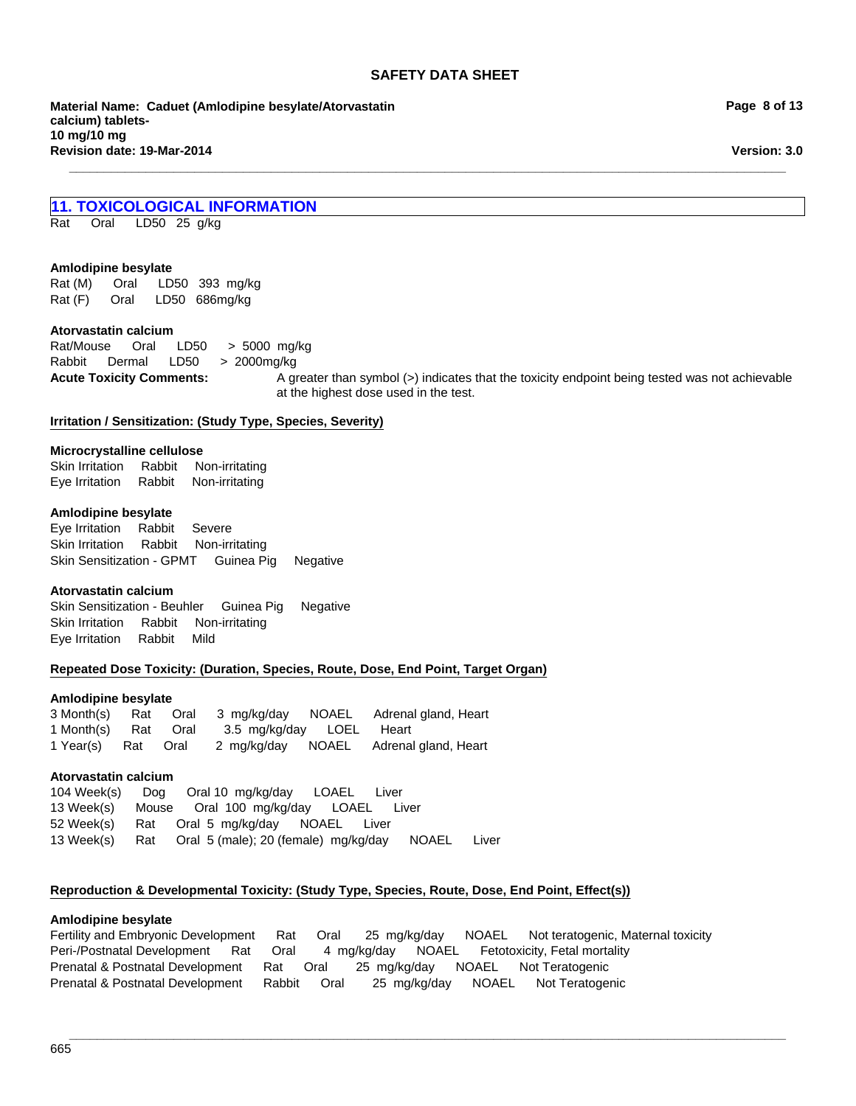**\_\_\_\_\_\_\_\_\_\_\_\_\_\_\_\_\_\_\_\_\_\_\_\_\_\_\_\_\_\_\_\_\_\_\_\_\_\_\_\_\_\_\_\_\_\_\_\_\_\_\_\_\_\_\_\_\_\_\_\_\_\_\_\_\_\_\_\_\_\_\_\_\_\_\_\_\_\_\_\_\_\_\_\_\_\_\_\_\_\_\_\_\_\_\_\_\_\_\_\_\_\_\_**

**Material Name: Caduet (Amlodipine besylate/Atorvastatin calcium) tablets-10 mg/10 mg Revision date: 19-Mar-2014**

**Page 8 of 13**

**Version: 3.0**

## **11. TOXICOLOGICAL INFORMATION**

Rat Oral LD50 25g/kg

#### **Amlodipine besylate**

Rat (M) Oral LD50 393mg/kg Rat (F) Oral LD50 686mg/kg

#### **Atorvastatin calcium**

**Acute Toxicity Comments:** A greater than symbol (>) indicates that the toxicity endpoint being tested was not achievable at the highest dose used in the test. Rat/Mouse Oral LD50 >5000mg/kg Rabbit Dermal LD50 >2000mg/kg

#### **Irritation / Sensitization: (Study Type, Species, Severity)**

#### **Microcrystalline cellulose**

Skin IrritationRabbitNon-irritating Eye IrritationRabbitNon-irritating

#### **Amlodipine besylate**

Eye IrritationRabbitSevere Skin IrritationRabbitNon-irritating Skin Sensitization - GPMTGuinea PigNegative

#### **Atorvastatin calcium**

Eye IrritationRabbitMild Skin Sensitization - BeuhlerGuinea PigNegative Skin IrritationRabbitNon-irritating

#### **Repeated Dose Toxicity: (Duration, Species, Route, Dose, End Point, Target Organ)**

#### **Amlodipine besylate**

3 Month(s)RatOral3mg/kg/dayNOAELAdrenal gland, Heart 1 Month(s)RatOral3.5mg/kg/dayLOELHeart 1 Year(s)RatOral2mg/kg/dayNOAELAdrenal gland, Heart

#### **Atorvastatin calcium**

104 Week(s)DogOral 10mg/kg/dayLOAELLiver 13 Week(s)MouseOral100mg/kg/dayLOAELLiver 52 Week(s)RatOral5mg/kg/dayNOAELLiver 13 Week(s)RatOral5 (male); 20 (female)mg/kg/dayNOAELLiver

#### **Reproduction & Developmental Toxicity: (Study Type, Species, Route, Dose, End Point, Effect(s))**

#### **Amlodipine besylate**

Fertility and Embryonic DevelopmentRatOral25mg/kg/dayNOAELNot teratogenic, Maternal toxicity Peri-/Postnatal DevelopmentRatOral4mg/kg/dayNOAELFetotoxicity, Fetal mortality Prenatal & Postnatal DevelopmentRatOral25mg/kg/dayNOAELNot Teratogenic Prenatal & Postnatal DevelopmentRabbitOral25mg/kg/dayNOAELNot Teratogenic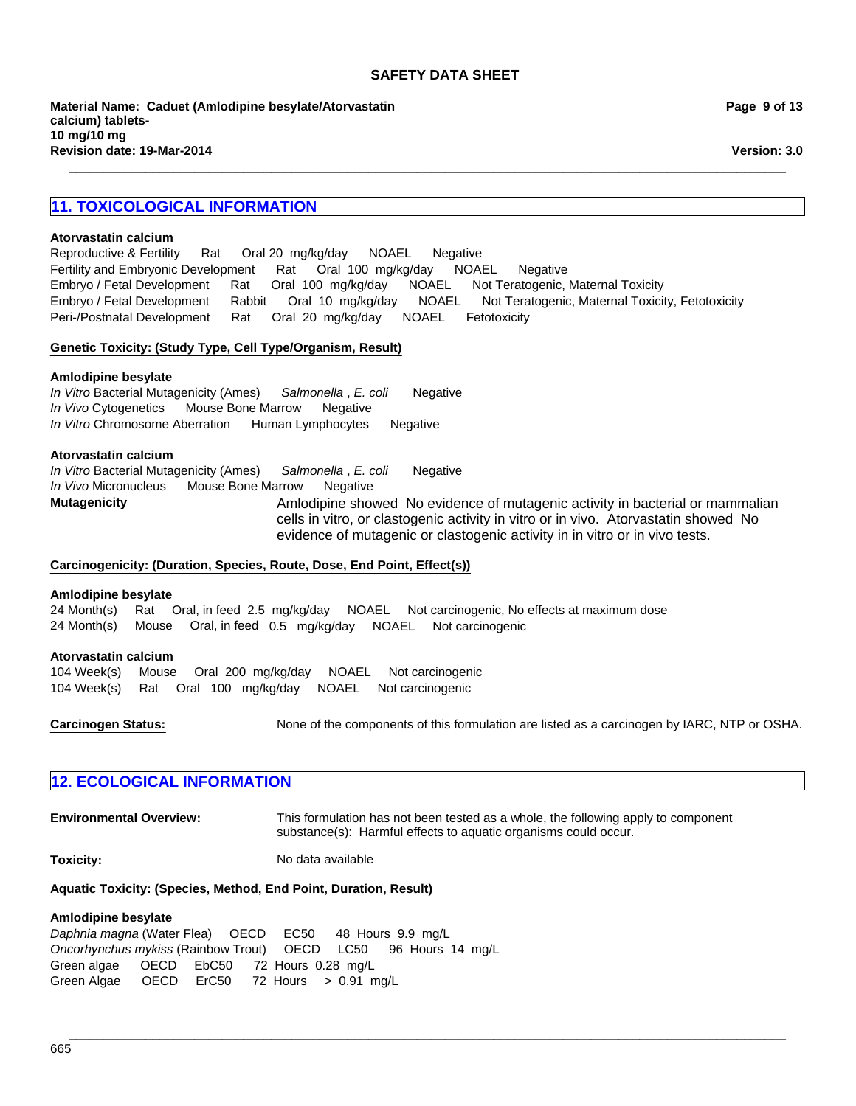**\_\_\_\_\_\_\_\_\_\_\_\_\_\_\_\_\_\_\_\_\_\_\_\_\_\_\_\_\_\_\_\_\_\_\_\_\_\_\_\_\_\_\_\_\_\_\_\_\_\_\_\_\_\_\_\_\_\_\_\_\_\_\_\_\_\_\_\_\_\_\_\_\_\_\_\_\_\_\_\_\_\_\_\_\_\_\_\_\_\_\_\_\_\_\_\_\_\_\_\_\_\_\_**

# **Page 9 of 13**

**Version: 3.0**

## **11. TOXICOLOGICAL INFORMATION**

#### **Atorvastatin calcium**

Fertility and Embryonic DevelopmentRatOral100mg/kg/dayNOAELNegative Embryo / Fetal DevelopmentRatOral100mg/kg/dayNOAELNot Teratogenic, Maternal Toxicity Embryo / Fetal DevelopmentRabbitOral10mg/kg/dayNOAELNot Teratogenic, Maternal Toxicity, Fetotoxicity Peri-/Postnatal DevelopmentRatOral20mg/kg/dayNOAELFetotoxicity Reproductive & FertilityRatOral 20mg/kg/dayNOAELNegative

#### **Genetic Toxicity: (Study Type, Cell Type/Organism, Result)**

#### **Amlodipine besylate**

*In Vivo* CytogeneticsMouse Bone MarrowNegative *In Vitro* Chromosome AberrationHuman LymphocytesNegative *In Vitro* Bacterial Mutagenicity (Ames)*Salmonella* , *E. coli* Negative

#### **Atorvastatin calcium**

**Mutagenicity AMIG AMIG AMIG AMIG AMIG AND ANIG AND AND AND AND AN** evidence of mutagenic activity in bacterial or mammalian cells in vitro, or clastogenic activity in vitro or in vivo. Atorvastatin showed No evidence of mutagenic or clastogenic activity in in vitro or in vivo tests. *In Vitro* Bacterial Mutagenicity (Ames)*Salmonella* , *E. coli* Negative *In Vivo* MicronucleusMouse Bone MarrowNegative

#### **Carcinogenicity: (Duration, Species, Route, Dose, End Point, Effect(s))**

#### **Amlodipine besylate**

24 Month(s)RatOral, in feed2.5mg/kg/dayNOAELNot carcinogenic, No effects at maximum dose 24 Month(s)MouseOral, in feed0.5mg/kg/dayNOAELNot carcinogenic

#### **Atorvastatin calcium**

104 Week(s)MouseOral200mg/kg/dayNOAELNot carcinogenic 104 Week(s)RatOral100mg/kg/dayNOAELNot carcinogenic

**Carcinogen Status:** None of the components of this formulation are listed as a carcinogen by IARC, NTP or OSHA.

### **12. ECOLOGICAL INFORMATION**

**Environmental Overview:** This formulation has not been tested as a whole, the following apply to component substance(s): Harmful effects to aquatic organisms could occur.

**\_\_\_\_\_\_\_\_\_\_\_\_\_\_\_\_\_\_\_\_\_\_\_\_\_\_\_\_\_\_\_\_\_\_\_\_\_\_\_\_\_\_\_\_\_\_\_\_\_\_\_\_\_\_\_\_\_\_\_\_\_\_\_\_\_\_\_\_\_\_\_\_\_\_\_\_\_\_\_\_\_\_\_\_\_\_\_\_\_\_\_\_\_\_\_\_\_\_\_\_\_\_\_**

**Toxicity:** No data available

#### **Aquatic Toxicity: (Species, Method, End Point, Duration, Result)**

#### **Amlodipine besylate**

*Daphnia magna* (Water Flea)OECDEC50 48Hours9.9mg/L *Oncorhynchus mykiss* (Rainbow Trout)OECDLC50 96Hours14mg/L Green algae OECDEbC50 72Hours0.28mg/L Green Algae OECDErC50 72Hours>0.91mg/L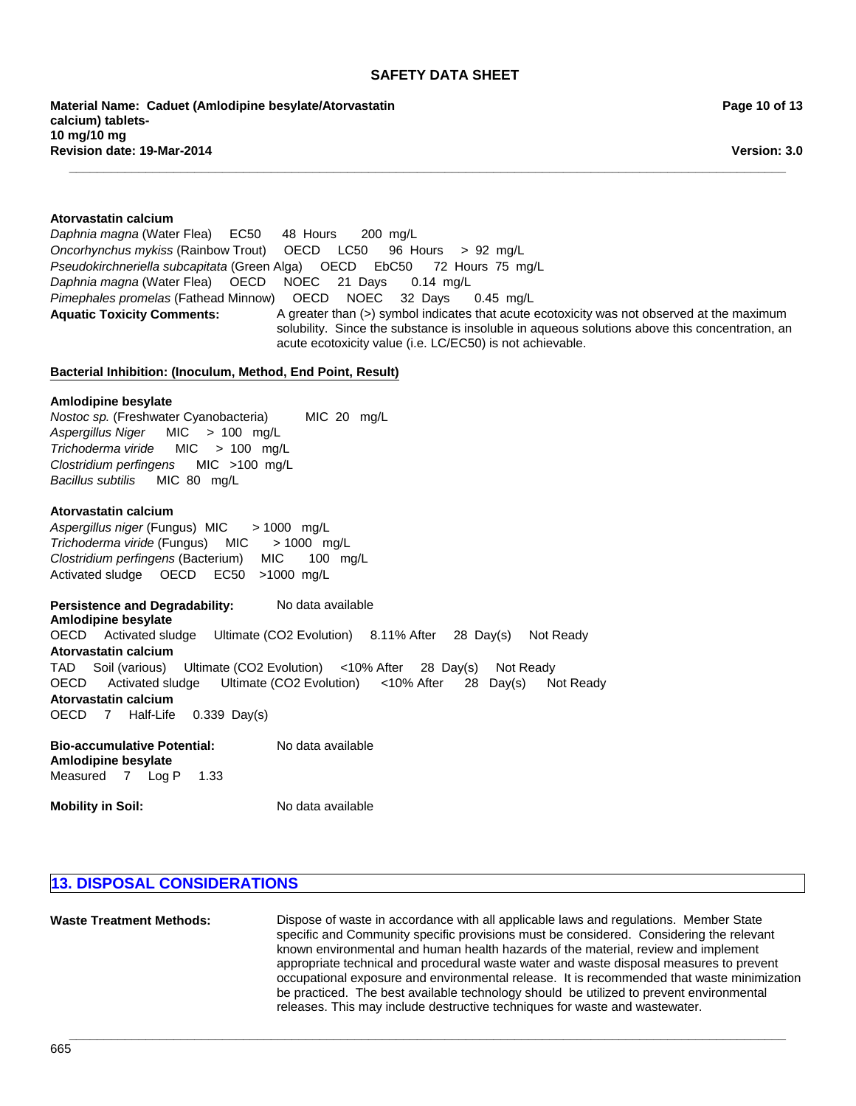**Material Name: Caduet (Amlodipine besylate/Atorvastatin calcium) tablets-10 mg/10 mg Revision date: 19-Mar-2014**

**Page 10 of 13**

**Version: 3.0**

## **Aquatic Toxicity Comments:** A greater than (>) symbol indicates that acute ecotoxicity was not observed at the maximum solubility. Since the substance is insoluble in aqueous solutions above this concentration, an acute ecotoxicity value (i.e. LC/EC50) is not achievable. **Bacterial Inhibition: (Inoculum, Method, End Point, Result)** *Pseudokirchneriella subcapitata* (Green Alga)OECDEbC50 72Hours75mg/L *Daphnia magna* (Water Flea)OECDNOEC21Days0.14mg/L **Atorvastatin calcium** *Pimephales promelas* (Fathead Minnow)OECDNOEC32Days0.45mg/L *Daphnia magna* (Water Flea)EC50 48Hours200mg/L **Amlodipine besylate** *Oncorhynchus mykiss* (Rainbow Trout)OECDLC50 96Hours>92mg/L *Nostoc sp.* (Freshwater Cyanobacteria) MIC20mg/L

**\_\_\_\_\_\_\_\_\_\_\_\_\_\_\_\_\_\_\_\_\_\_\_\_\_\_\_\_\_\_\_\_\_\_\_\_\_\_\_\_\_\_\_\_\_\_\_\_\_\_\_\_\_\_\_\_\_\_\_\_\_\_\_\_\_\_\_\_\_\_\_\_\_\_\_\_\_\_\_\_\_\_\_\_\_\_\_\_\_\_\_\_\_\_\_\_\_\_\_\_\_\_\_**

*Aspergillus Niger* MIC>100mg/L *Trichoderma viride* MIC>100mg/L *Clostridium perfingens* MIC>100mg/L *Bacillus subtilis* MIC80mg/L

#### **Atorvastatin calcium**

*Aspergillus niger* (Fungus) MIC> 1000mg/L *Trichoderma viride* (Fungus)MIC> 1000mg/L *Clostridium perfingens* (Bacterium)MIC100mg/L Activated sludgeOECDEC50 >1000mg/L

**Persistence and Degradability:** No data available

OECDActivated sludgeUltimate (CO2 Evolution)8.11% After28Day(s)Not Ready **Atorvastatin calcium** TADSoil (various)Ultimate (CO2 Evolution)<10% After28Day(s)Not Ready OECDActivated sludgeUltimate (CO2 Evolution)<10% After28Day(s)Not Ready **Atorvastatin calcium** OECD7Half-Life0.339Day(s) **Amlodipine besylate**

| Bio-accumulative Potential:<br>Amlodipine besylate |  |  | No data available |  |
|----------------------------------------------------|--|--|-------------------|--|
| Measured 7 Log P                                   |  |  | - 1.33            |  |

**Mobility in Soil:** No data available

## **13. DISPOSAL CONSIDERATIONS**

**Waste Treatment Methods:** Dispose of waste in accordance with all applicable laws and regulations. Member State specific and Community specific provisions must be considered. Considering the relevant known environmental and human health hazards of the material, review and implement appropriate technical and procedural waste water and waste disposal measures to prevent occupational exposure and environmental release. It is recommended that waste minimization be practiced. The best available technology should be utilized to prevent environmental releases. This may include destructive techniques for waste and wastewater.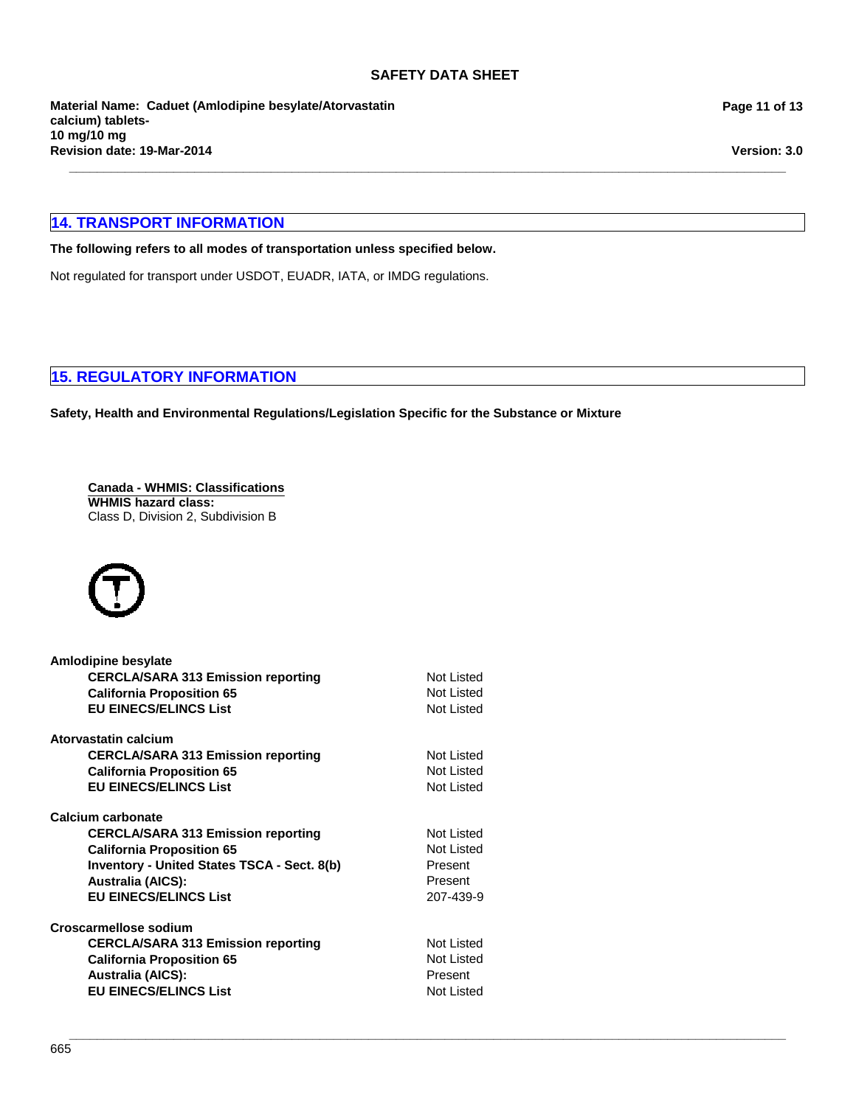**\_\_\_\_\_\_\_\_\_\_\_\_\_\_\_\_\_\_\_\_\_\_\_\_\_\_\_\_\_\_\_\_\_\_\_\_\_\_\_\_\_\_\_\_\_\_\_\_\_\_\_\_\_\_\_\_\_\_\_\_\_\_\_\_\_\_\_\_\_\_\_\_\_\_\_\_\_\_\_\_\_\_\_\_\_\_\_\_\_\_\_\_\_\_\_\_\_\_\_\_\_\_\_**

**Revision date: 19-Mar-2014 Material Name: Caduet (Amlodipine besylate/Atorvastatin calcium) tablets-10 mg/10 mg**

## **14. TRANSPORT INFORMATION**

#### **The following refers to all modes of transportation unless specified below.**

Not regulated for transport under USDOT, EUADR, IATA, or IMDG regulations.

## **15. REGULATORY INFORMATION**

**Safety, Health and Environmental Regulations/Legislation Specific for the Substance or Mixture**

**Canada - WHMIS: Classifications WHMIS hazard class:** Class D, Division 2, Subdivision B



| <b>Amlodipine besylate</b>                  |                   |
|---------------------------------------------|-------------------|
| <b>CERCLA/SARA 313 Emission reporting</b>   | Not Listed        |
| <b>California Proposition 65</b>            | Not Listed        |
| <b>EU EINECS/ELINCS List</b>                | Not Listed        |
| Atorvastatin calcium                        |                   |
| <b>CERCLA/SARA 313 Emission reporting</b>   | Not Listed        |
| <b>California Proposition 65</b>            | Not Listed        |
| <b>EU EINECS/ELINCS List</b>                | Not Listed        |
| Calcium carbonate                           |                   |
| <b>CERCLA/SARA 313 Emission reporting</b>   | <b>Not Listed</b> |
| <b>California Proposition 65</b>            | Not Listed        |
| Inventory - United States TSCA - Sect. 8(b) | Present           |
| <b>Australia (AICS):</b>                    | Present           |
| <b>EU EINECS/ELINCS List</b>                | 207-439-9         |
| Croscarmellose sodium                       |                   |
| <b>CERCLA/SARA 313 Emission reporting</b>   | Not Listed        |
| <b>California Proposition 65</b>            | Not Listed        |
| <b>Australia (AICS):</b>                    | Present           |
| <b>EU EINECS/ELINCS List</b>                | Not Listed        |
|                                             |                   |

**Page 11 of 13**

**Version: 3.0**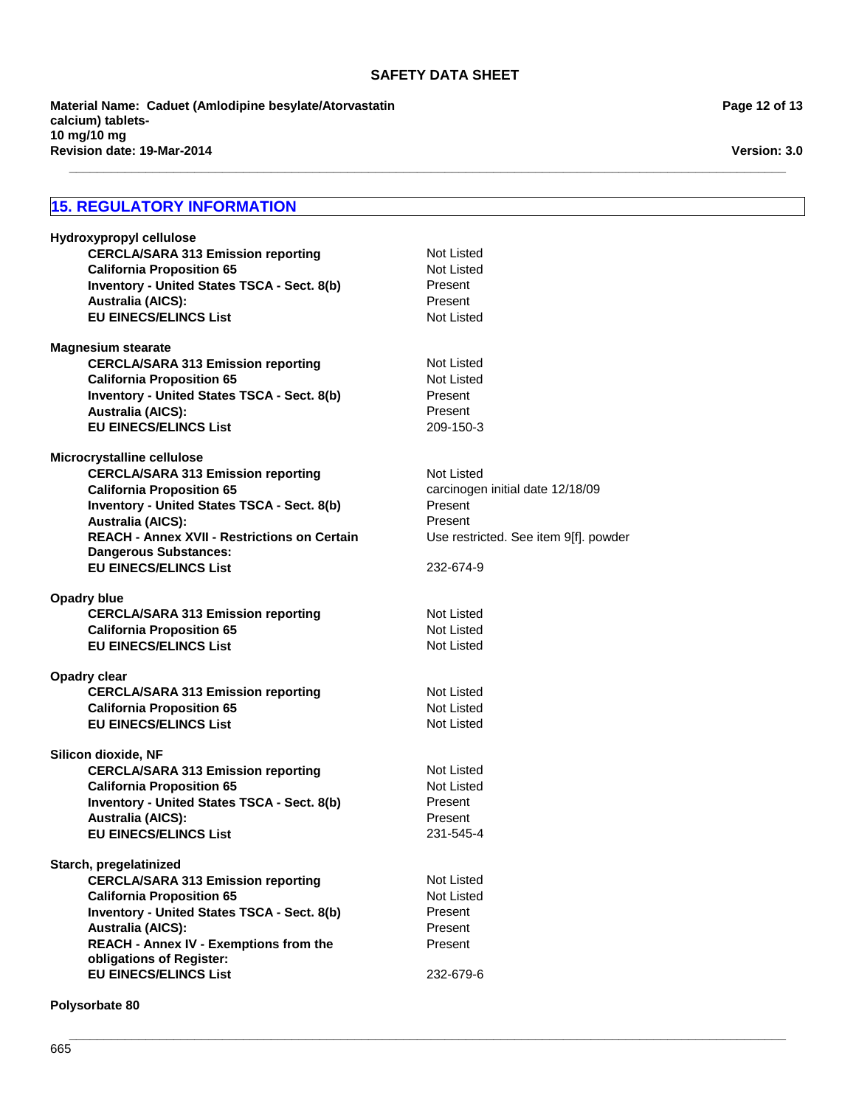**\_\_\_\_\_\_\_\_\_\_\_\_\_\_\_\_\_\_\_\_\_\_\_\_\_\_\_\_\_\_\_\_\_\_\_\_\_\_\_\_\_\_\_\_\_\_\_\_\_\_\_\_\_\_\_\_\_\_\_\_\_\_\_\_\_\_\_\_\_\_\_\_\_\_\_\_\_\_\_\_\_\_\_\_\_\_\_\_\_\_\_\_\_\_\_\_\_\_\_\_\_\_\_**

**Revision date: 19-Mar-2014 Material Name: Caduet (Amlodipine besylate/Atorvastatin calcium) tablets-10 mg/10 mg**

## **15. REGULATORY INFORMATION**

| Hydroxypropyl cellulose                             |                                       |
|-----------------------------------------------------|---------------------------------------|
| <b>CERCLA/SARA 313 Emission reporting</b>           | Not Listed                            |
| <b>California Proposition 65</b>                    | Not Listed                            |
| Inventory - United States TSCA - Sect. 8(b)         | Present                               |
| <b>Australia (AICS):</b>                            | Present                               |
| <b>EU EINECS/ELINCS List</b>                        | <b>Not Listed</b>                     |
|                                                     |                                       |
| <b>Magnesium stearate</b>                           |                                       |
| <b>CERCLA/SARA 313 Emission reporting</b>           | Not Listed                            |
| <b>California Proposition 65</b>                    | Not Listed                            |
| Inventory - United States TSCA - Sect. 8(b)         | Present                               |
| <b>Australia (AICS):</b>                            | Present                               |
| <b>EU EINECS/ELINCS List</b>                        | 209-150-3                             |
|                                                     |                                       |
| Microcrystalline cellulose                          |                                       |
| <b>CERCLA/SARA 313 Emission reporting</b>           | Not Listed                            |
| <b>California Proposition 65</b>                    | carcinogen initial date 12/18/09      |
| Inventory - United States TSCA - Sect. 8(b)         | Present                               |
| <b>Australia (AICS):</b>                            | Present                               |
| <b>REACH - Annex XVII - Restrictions on Certain</b> | Use restricted. See item 9[f]. powder |
| <b>Dangerous Substances:</b>                        |                                       |
| <b>EU EINECS/ELINCS List</b>                        | 232-674-9                             |
| <b>Opadry blue</b>                                  |                                       |
| <b>CERCLA/SARA 313 Emission reporting</b>           | Not Listed                            |
| <b>California Proposition 65</b>                    | <b>Not Listed</b>                     |
| <b>EU EINECS/ELINCS List</b>                        | Not Listed                            |
|                                                     |                                       |
| Opadry clear                                        |                                       |
| <b>CERCLA/SARA 313 Emission reporting</b>           | Not Listed                            |
| <b>California Proposition 65</b>                    | Not Listed                            |
| <b>EU EINECS/ELINCS List</b>                        | <b>Not Listed</b>                     |
|                                                     |                                       |
| Silicon dioxide, NF                                 |                                       |
| <b>CERCLA/SARA 313 Emission reporting</b>           | Not Listed                            |
| <b>California Proposition 65</b>                    | <b>Not Listed</b>                     |
| Inventory - United States TSCA - Sect. 8(b)         | Present                               |
| <b>Australia (AICS):</b>                            | Present                               |
| <b>EU EINECS/ELINCS List</b>                        | 231-545-4                             |
|                                                     |                                       |
| Starch, pregelatinized                              |                                       |
| <b>CERCLA/SARA 313 Emission reporting</b>           | Not Listed                            |
| <b>California Proposition 65</b>                    | Not Listed                            |
| <b>Inventory - United States TSCA - Sect. 8(b)</b>  | Present                               |
| <b>Australia (AICS):</b>                            | Present                               |
| <b>REACH - Annex IV - Exemptions from the</b>       | Present                               |
| obligations of Register:                            |                                       |
| <b>EU EINECS/ELINCS List</b>                        | 232-679-6                             |

**\_\_\_\_\_\_\_\_\_\_\_\_\_\_\_\_\_\_\_\_\_\_\_\_\_\_\_\_\_\_\_\_\_\_\_\_\_\_\_\_\_\_\_\_\_\_\_\_\_\_\_\_\_\_\_\_\_\_\_\_\_\_\_\_\_\_\_\_\_\_\_\_\_\_\_\_\_\_\_\_\_\_\_\_\_\_\_\_\_\_\_\_\_\_\_\_\_\_\_\_\_\_\_**

**Polysorbate 80**

**Version: 3.0**

**Page 12 of 13**